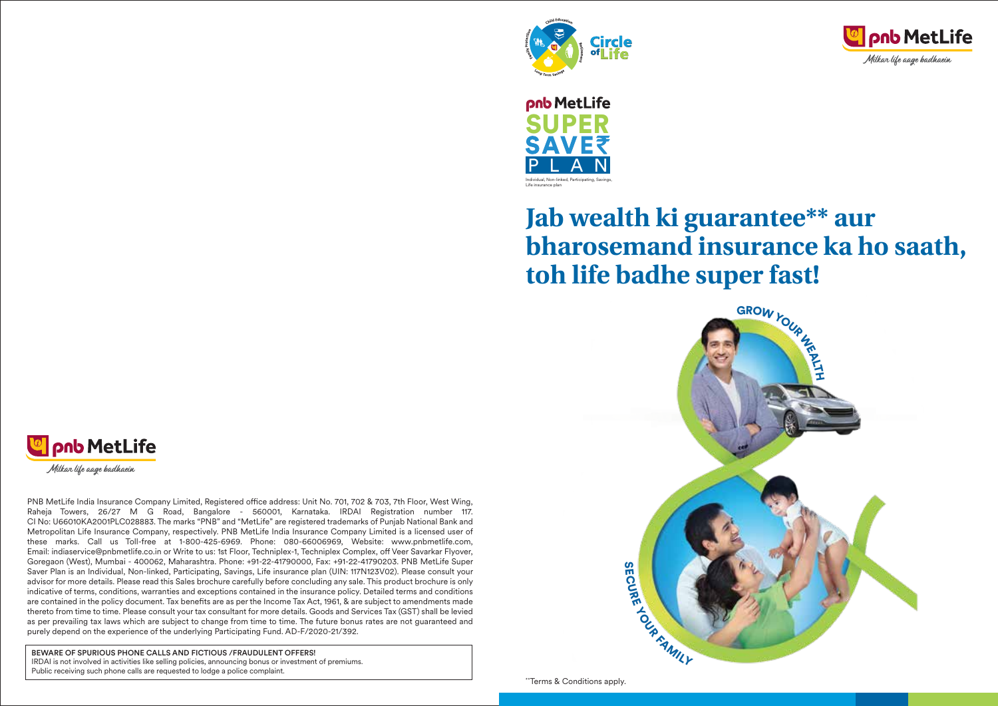





# **Jab wealth ki guarantee\*\* aur bharosemand insurance ka ho saath, toh life badhe super fast!**







PNB MetLife India Insurance Company Limited, Registered office address: Unit No. 701, 702 & 703, 7th Floor, West Wing, Raheja Towers, 26/27 M G Road, Bangalore - 560001, Karnataka. IRDAI Registration number 117. CI No: U66010KA2001PLC028883. The marks "PNB" and "MetLife" are registered trademarks of Punjab National Bank and Metropolitan Life Insurance Company, respectively. PNB MetLife India Insurance Company Limited is a licensed user of these marks. Call us Toll-free at 1-800-425-6969. Phone: 080-66006969, Website: www.pnbmetlife.com, Email: indiaservice@pnbmetlife.co.in or Write to us: 1st Floor, Techniplex-1, Techniplex Complex, off Veer Savarkar Flyover, Goregaon (West), Mumbai - 400062, Maharashtra. Phone: +91-22-41790000, Fax: +91-22-41790203. PNB MetLife Super Saver Plan is an Individual, Non-linked, Participating, Savings, Life insurance plan (UIN: 117N123V02). Please consult your advisor for more details. Please read this Sales brochure carefully before concluding any sale. This product brochure is only indicative of terms, conditions, warranties and exceptions contained in the insurance policy. Detailed terms and conditions are contained in the policy document. Tax benefits are as per the Income Tax Act, 1961, & are subject to amendments made thereto from time to time. Please consult your tax consultant for more details. Goods and Services Tax (GST) shall be levied as per prevailing tax laws which are subject to change from time to time. The future bonus rates are not guaranteed and purely depend on the experience of the underlying Participating Fund. AD-F/2020-21/392.

BEWARE OF SPURIOUS PHONE CALLS AND FICTIOUS /FRAUDULENT OFFERS! IRDAI is not involved in activities like selling policies, announcing bonus or investment of premiums. Public receiving such phone calls are requested to lodge a police complaint.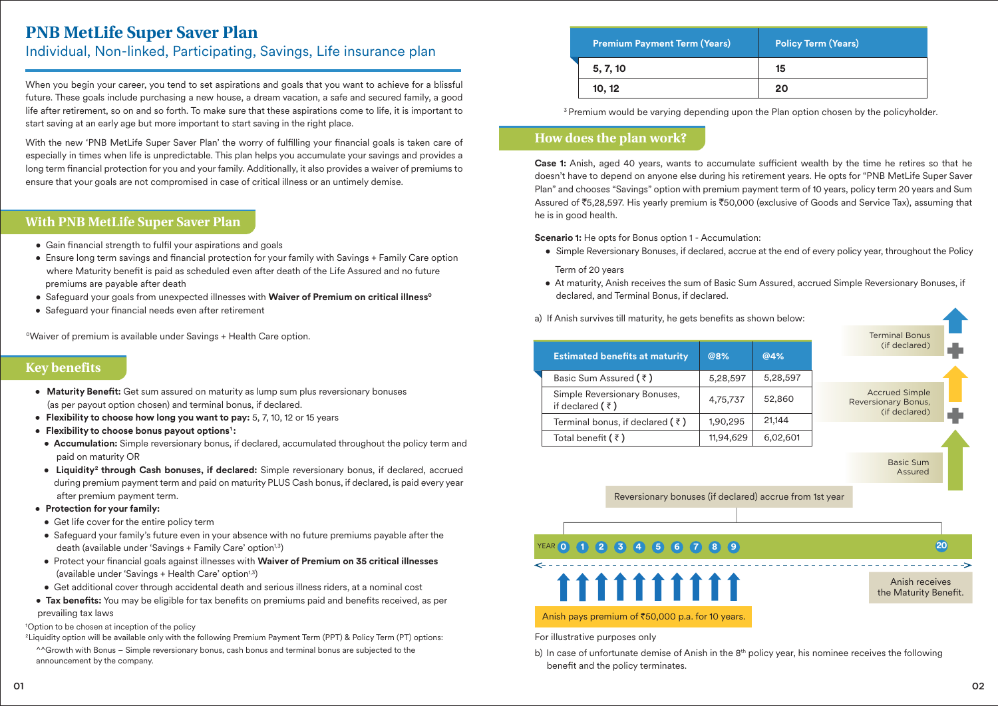# **PNB MetLife Super Saver Plan**

# Individual, Non-linked, Participating, Savings, Life insurance plan

When you begin your career, you tend to set aspirations and goals that you want to achieve for a blissful future. These goals include purchasing a new house, a dream vacation, a safe and secured family, a good life after retirement, so on and so forth. To make sure that these aspirations come to life, it is important to start saving at an early age but more important to start saving in the right place.

With the new 'PNB MetLife Super Saver Plan' the worry of fulfilling your financial goals is taken care of especially in times when life is unpredictable. This plan helps you accumulate your savings and provides a long term financial protection for you and your family. Additionally, it also provides a waiver of premiums to ensure that your goals are not compromised in case of critical illness or an untimely demise.

# **With PNB MetLife Super Saver Plan**

- Gain financial strength to fulfil your aspirations and goals
- Ensure long term savings and financial protection for your family with Savings + Family Care option where Maturity benefit is paid as scheduled even after death of the Life Assured and no future premiums are payable after death
- Safeguard your goals from unexpected illnesses with **Waiver of Premium on critical illness<sup>o</sup>**
- Safeguard your financial needs even after retirement

<sup>o</sup>Waiver of premium is available under Savings + Health Care option.

# **Key benefits**

- Maturity Benefit: Get sum assured on maturity as lump sum plus reversionary bonuses (as per payout option chosen) and terminal bonus, if declared.
- **Flexibility to choose how long you want to pay:** 5, 7, 10, 12 or 15 years
- **Flexibility to choose bonus payout options1 :**
- **Accumulation:** Simple reversionary bonus, if declared, accumulated throughout the policy term and paid on maturity OR
- **Liquidity<sup>2</sup> through Cash bonuses, if declared:** Simple reversionary bonus, if declared, accrued during premium payment term and paid on maturity PLUS Cash bonus, if declared, is paid every year after premium payment term.
- **Protection for your family:**
- Get life cover for the entire policy term
- Safeguard your family's future even in your absence with no future premiums payable after the death (available under 'Savings + Family Care' option<sup>1,3</sup>)
- Protect your nancial goals against illnesses with **Waiver of Premium on 35 critical illnesses** (available under 'Savings + Health Care' option<sup>1,3</sup>)
- Get additional cover through accidental death and serious illness riders, at a nominal cost
- Tax benefits: You may be eligible for tax benefits on premiums paid and benefits received, as per prevailing tax laws

#### 1 Option to be chosen at inception of the policy

- 2Liquidity option will be available only with the following Premium Payment Term (PPT) & Policy Term (PT) options:
	- ^^Growth with Bonus Simple reversionary bonus, cash bonus and terminal bonus are subjected to the announcement by the company.

| <b>Premium Payment Term (Years)</b> | <b>Policy Term (Years)</b> |
|-------------------------------------|----------------------------|
| 5, 7, 10                            | 15                         |
| 10, 12                              | 20                         |

<sup>3</sup> Premium would be varying depending upon the Plan option chosen by the policyholder.

# **How does the plan work?**

**Case 1:** Anish, aged 40 years, wants to accumulate sufficient wealth by the time he retires so that he doesn't have to depend on anyone else during his retirement years. He opts for "PNB MetLife Super Saver Plan" and chooses "Savings" option with premium payment term of 10 years, policy term 20 years and Sum Assured of ₹5,28,597. His yearly premium is ₹50,000 (exclusive of Goods and Service Tax), assuming that he is in good health.

**Scenario 1:** He opts for Bonus option 1 - Accumulation:

- Simple Reversionary Bonuses, if declared, accrue at the end of every policy year, throughout the Policy Term of 20 years
- At maturity, Anish receives the sum of Basic Sum Assured, accrued Simple Reversionary Bonuses, if declared, and Terminal Bonus, if declared.



Anish pays premium of  $\text{\texttt{\$50,000}}$  p.a. for 10 years.

For illustrative purposes only

b) In case of unfortunate demise of Anish in the 8<sup>th</sup> policy year, his nominee receives the following benefit and the policy terminates.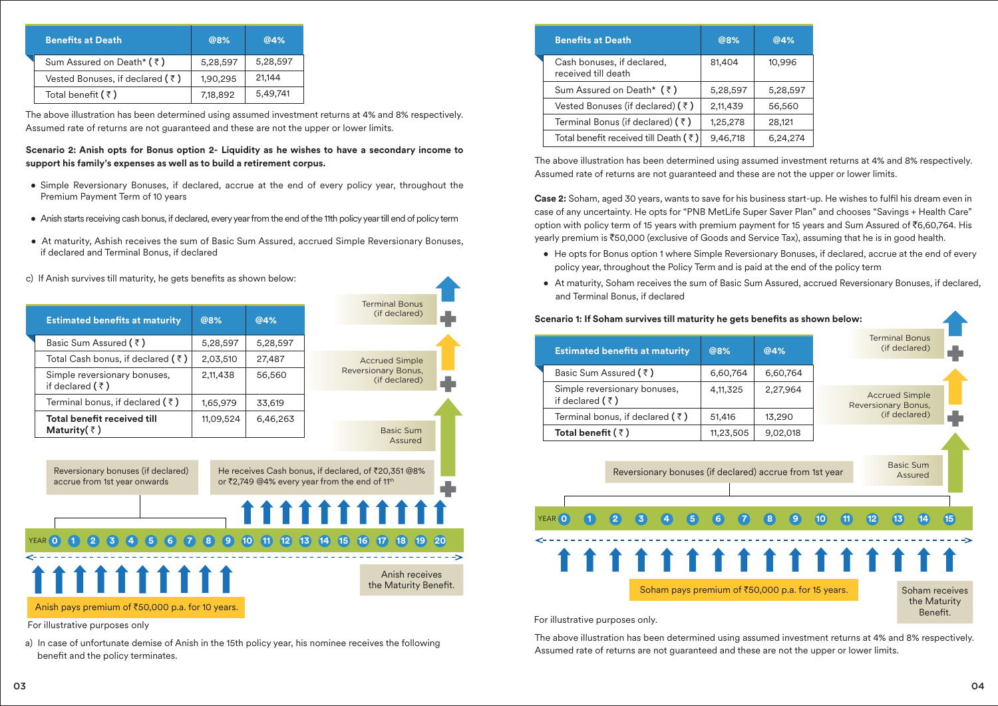| <b>Benefits at Death</b>                | @8%      | @4%      |
|-----------------------------------------|----------|----------|
| Sum Assured on Death* (₹)               | 5,28,597 | 5,28,597 |
| Vested Bonuses, if declared $(\bar{z})$ | 1,90,295 | 21,144   |
| Total benefit $(\bar{z})$               | 7,18,892 | 5,49,741 |

The above illustration has been determined using assumed investment returns at 4% and 8% respectively. Assumed rate of returns are not guaranteed and these are not the upper or lower limits.

# **Scenario 2: Anish opts for Bonus option 2- Liquidity as he wishes to have a secondary income to support his family's expenses as well as to build a retirement corpus.**

- Simple Reversionary Bonuses, if declared, accrue at the end of every policy year, throughout the Premium Payment Term of 10 years
- Anish starts receiving cash bonus, if declared, every year from the end of the 11th policy year till end of policy term
- At maturity, Ashish receives the sum of Basic Sum Assured, accrued Simple Reversionary Bonuses, if declared and Terminal Bonus, if declared
- c) If Anish survives till maturity, he gets benefits as shown below:

| <b>Estimated benefits at maturity</b>                              | @8%<br>@4% |           | <b>Terminal Bonus</b><br>(if declared) |                                                                                                                  |  |
|--------------------------------------------------------------------|------------|-----------|----------------------------------------|------------------------------------------------------------------------------------------------------------------|--|
| Basic Sum Assured $(3)$                                            |            | 5,28,597  | 5,28,597                               |                                                                                                                  |  |
| Total Cash bonus, if declared ( $\bar{\tau}$ )                     |            | 2,03,510  | 27,487                                 | <b>Accrued Simple</b>                                                                                            |  |
| Simple reversionary bonuses,<br>if declared $(3)$                  |            | 2,11,438  | 56,560                                 | Reversionary Bonus,<br>(if declared)                                                                             |  |
| Terminal bonus, if declared $(3)$                                  |            | 1,65,979  | 33,619                                 |                                                                                                                  |  |
| Total benefit received till<br>Maturity( $\bar{z}$ )               |            | 11,09,524 | 6,46,263                               | Basic Sum                                                                                                        |  |
|                                                                    |            |           |                                        | Assured                                                                                                          |  |
| Reversionary bonuses (if declared)<br>accrue from 1st year onwards |            |           |                                        | He receives Cash bonus, if declared, of ₹20,351 @8%<br>or ₹2,749 @4% every year from the end of 11 <sup>th</sup> |  |
|                                                                    |            |           |                                        | 1111111111                                                                                                       |  |
| 6 <sup>1</sup><br>$\left[5\right]$<br>YEAR (0)                     |            |           |                                        | 8 9 10 11 12 13 14 15 16 17 18 19                                                                                |  |



| <b>Benefits at Death</b>                          | @8%      | @4%      |
|---------------------------------------------------|----------|----------|
| Cash bonuses, if declared,<br>received till death | 81,404   | 10,996   |
| Sum Assured on Death* (₹)                         | 5,28,597 | 5,28,597 |
| Vested Bonuses (if declared) $(3)$                | 2,11,439 | 56,560   |
| Terminal Bonus (if declared) (₹)                  | 1,25,278 | 28,121   |
| Total benefit received till Death (₹)             | 9,46,718 | 6,24,274 |

**Scenario 1: If Soham survives till maturity he gets benefits as shown below:** 

The above illustration has been determined using assumed investment returns at 4% and 8% respectively. Assumed rate of returns are not guaranteed and these are not the upper or lower limits.

**Case 2:** Soham, aged 30 years, wants to save for his business start-up. He wishes to fulfil his dream even in case of any uncertainty. He opts for "PNB MetLife Super Saver Plan" and chooses "Savings + Health Care" option with policy term of 15 years with premium payment for 15 years and Sum Assured of ₹6,60,764. His yearly premium is `50,000 (exclusive of Goods and Service Tax), assuming that he is in good health.

- He opts for Bonus option 1 where Simple Reversionary Bonuses, if declared, accrue at the end of every policy year, throughout the Policy Term and is paid at the end of the policy term
- At maturity, Soham receives the sum of Basic Sum Assured, accrued Reversionary Bonuses, if declared, and Terminal Bonus, if declared



The above illustration has been determined using assumed investment returns at 4% and 8% respectively. Assumed rate of returns are not guaranteed and these are not the upper or lower limits.

For illustrative purposes only. For illustrative purposes only

111111111

a) In case of unfortunate demise of Anish in the 15th policy year, his nominee receives the following benefit and the policy terminates.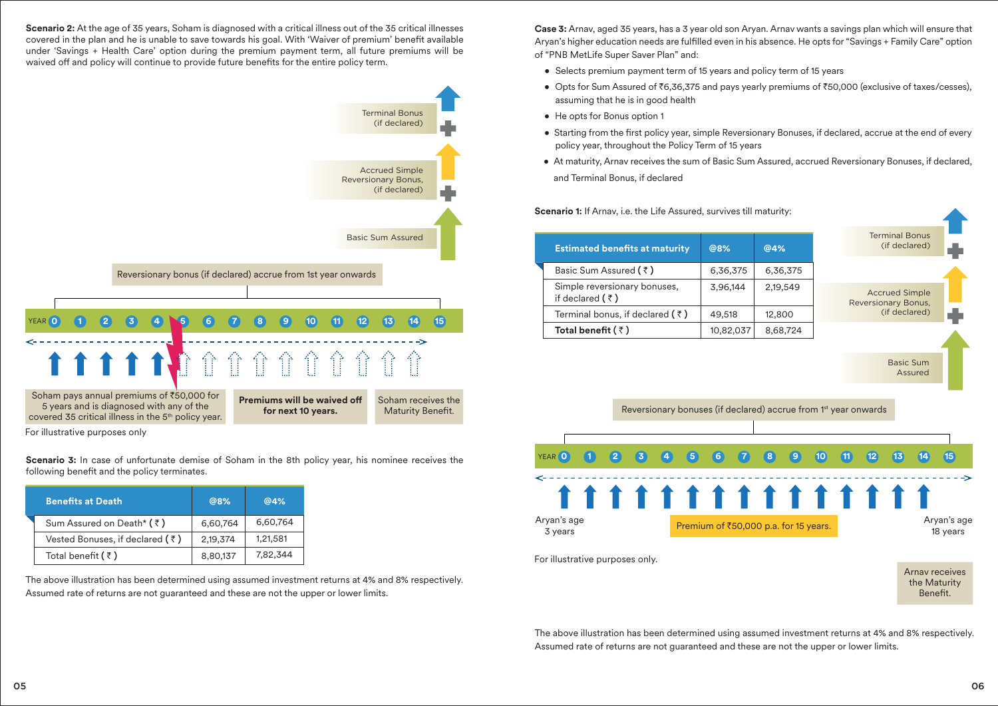**Scenario 2:** At the age of 35 years, Soham is diagnosed with a critical illness out of the 35 critical illnesses covered in the plan and he is unable to save towards his goal. With 'Waiver of premium' benefit available under 'Savings + Health Care' option during the premium payment term, all future premiums will be waived off and policy will continue to provide future benefits for the entire policy term.



For illustrative purposes only

**Scenario 3:** In case of unfortunate demise of Soham in the 8th policy year, his nominee receives the following benefit and the policy terminates.

| <b>Benefits at Death</b>          | @8%      | @4%      |
|-----------------------------------|----------|----------|
| Sum Assured on Death* (₹)         | 6,60,764 | 6,60,764 |
| Vested Bonuses, if declared $(3)$ | 2,19,374 | 1,21,581 |
| Total benefit $(\bar{z})$         | 8,80,137 | 7,82,344 |

The above illustration has been determined using assumed investment returns at 4% and 8% respectively. Assumed rate of returns are not guaranteed and these are not the upper or lower limits.

**Case 3:** Arnav, aged 35 years, has a 3 year old son Aryan. Arnav wants a savings plan which will ensure that Aryan's higher education needs are fulfilled even in his absence. He opts for "Savings + Family Care" option of "PNB MetLife Super Saver Plan" and:

- Selects premium payment term of 15 years and policy term of 15 years
- Opts for Sum Assured of  $\overline{6,36,375}$  and pays yearly premiums of  $\overline{50,000}$  (exclusive of taxes/cesses), assuming that he is in good health
- He opts for Bonus option 1
- Starting from the first policy year, simple Reversionary Bonuses, if declared, accrue at the end of every policy year, throughout the Policy Term of 15 years
- At maturity, Arnav receives the sum of Basic Sum Assured, accrued Reversionary Bonuses, if declared, and Terminal Bonus, if declared

**Scenario 1:** If Arnay, i.e. the Life Assured, survives till maturity:

|                                 | <b>Estimated benefits at maturity</b>                                       | @8%                                   | @4%      |                 |                     | <b>Terminal Bonus</b><br>(if declared) |                      |                         |
|---------------------------------|-----------------------------------------------------------------------------|---------------------------------------|----------|-----------------|---------------------|----------------------------------------|----------------------|-------------------------|
| Basic Sum Assured (₹)           |                                                                             | 6,36,375                              | 6,36,375 |                 |                     |                                        |                      |                         |
| if declared $(3)$               | Simple reversionary bonuses,                                                | 3,96,144                              | 2,19,549 |                 | Reversionary Bonus, | <b>Accrued Simple</b>                  |                      |                         |
|                                 | Terminal bonus, if declared $(\bar{\tau})$                                  | 49,518                                | 12,800   |                 |                     | (if declared)                          |                      |                         |
| Total benefit ( ₹)              |                                                                             | 10,82,037                             | 8,68,724 |                 |                     |                                        |                      |                         |
|                                 |                                                                             |                                       |          |                 |                     |                                        | Basic Sum<br>Assured |                         |
| YEAR 0                          | Reversionary bonuses (if declared) accrue from 1 <sup>st</sup> year onwards | 6                                     | 9        | 10 <sup>°</sup> | 11<br>(12)          | $\overline{13}$                        | (14)                 | (15)                    |
|                                 | 11111111111111                                                              |                                       |          |                 |                     |                                        |                      |                         |
| Aryan's age<br>3 years          |                                                                             | Premium of ₹50,000 p.a. for 15 years. |          |                 |                     |                                        |                      | Aryan's age<br>18 years |
| For illustrative purposes only. |                                                                             |                                       |          |                 |                     | the Maturity<br>Benefit.               | Arnay receives       |                         |

The above illustration has been determined using assumed investment returns at 4% and 8% respectively. Assumed rate of returns are not guaranteed and these are not the upper or lower limits.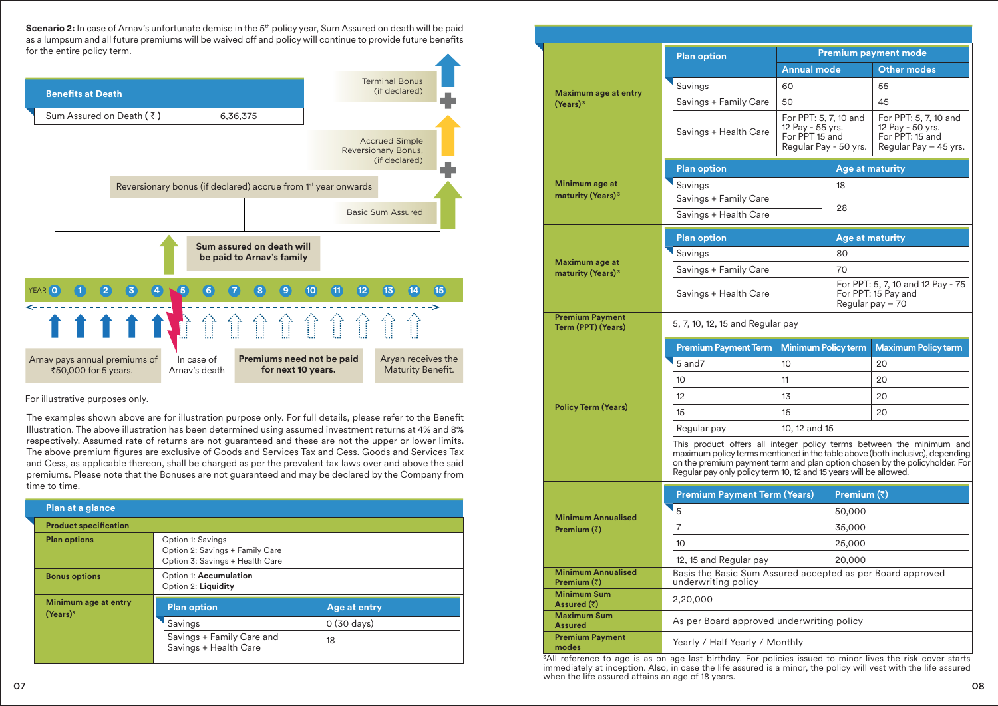**Scenario 2:** In case of Arnay's unfortunate demise in the 5<sup>th</sup> policy year, Sum Assured on death will be paid as a lumpsum and all future premiums will be waived off and policy will continue to provide future benefits for the entire policy term.



For illustrative purposes only.

The examples shown above are for illustration purpose only. For full details, please refer to the Benefit Illustration. The above illustration has been determined using assumed investment returns at 4% and 8% respectively. Assumed rate of returns are not guaranteed and these are not the upper or lower limits. The above premium figures are exclusive of Goods and Services Tax and Cess. Goods and Services Tax and Cess, as applicable thereon, shall be charged as per the prevalent tax laws over and above the said premiums. Please note that the Bonuses are not guaranteed and may be declared by the Company from time to time.

| Plan at a glance                             |                                                                                         |                      |  |  |
|----------------------------------------------|-----------------------------------------------------------------------------------------|----------------------|--|--|
| <b>Product specification</b>                 |                                                                                         |                      |  |  |
| <b>Plan options</b>                          | Option 1: Savings<br>Option 2: Savings + Family Care<br>Option 3: Savings + Health Care |                      |  |  |
| <b>Bonus options</b>                         | Option 1: Accumulation<br>Option 2: Liquidity                                           |                      |  |  |
| Minimum age at entry<br>(Years) <sup>3</sup> | <b>Plan option</b>                                                                      | Age at entry         |  |  |
|                                              | Savings                                                                                 | $0(30 \text{ days})$ |  |  |
|                                              | Savings + Family Care and<br>Savings + Health Care                                      | 18                   |  |  |
|                                              |                                                                                         |                      |  |  |

|                                                  | <b>Plan option</b>                                                                                                                                                                                                                                                                                        | <b>Premium payment mode</b>                                                          |                                                                              |                                                                                       |  |
|--------------------------------------------------|-----------------------------------------------------------------------------------------------------------------------------------------------------------------------------------------------------------------------------------------------------------------------------------------------------------|--------------------------------------------------------------------------------------|------------------------------------------------------------------------------|---------------------------------------------------------------------------------------|--|
|                                                  |                                                                                                                                                                                                                                                                                                           | <b>Annual mode</b>                                                                   |                                                                              | <b>Other modes</b>                                                                    |  |
| Maximum age at entry                             | Savings                                                                                                                                                                                                                                                                                                   | 60                                                                                   |                                                                              | 55                                                                                    |  |
| (Years) <sup>3</sup>                             | Savings + Family Care                                                                                                                                                                                                                                                                                     | 50                                                                                   |                                                                              | 45                                                                                    |  |
|                                                  | Savings + Health Care                                                                                                                                                                                                                                                                                     | For PPT: 5, 7, 10 and<br>12 Pay - 55 yrs.<br>For PPT 15 and<br>Regular Pay - 50 yrs. |                                                                              | For PPT: 5, 7, 10 and<br>12 Pay - 50 yrs.<br>For PPT: 15 and<br>Regular Pay - 45 yrs. |  |
|                                                  | <b>Plan option</b>                                                                                                                                                                                                                                                                                        |                                                                                      | <b>Age at maturity</b>                                                       |                                                                                       |  |
| Minimum age at                                   | Savings                                                                                                                                                                                                                                                                                                   |                                                                                      | 18                                                                           |                                                                                       |  |
| maturity (Years) <sup>3</sup>                    | Savings + Family Care                                                                                                                                                                                                                                                                                     |                                                                                      |                                                                              |                                                                                       |  |
|                                                  | Savings + Health Care                                                                                                                                                                                                                                                                                     |                                                                                      | 28                                                                           |                                                                                       |  |
|                                                  | <b>Plan option</b>                                                                                                                                                                                                                                                                                        |                                                                                      | Age at maturity                                                              |                                                                                       |  |
|                                                  | Savings                                                                                                                                                                                                                                                                                                   |                                                                                      | 80                                                                           |                                                                                       |  |
| Maximum age at                                   | Savings + Family Care                                                                                                                                                                                                                                                                                     |                                                                                      | 70                                                                           |                                                                                       |  |
| maturity (Years) <sup>3</sup>                    | Savings + Health Care                                                                                                                                                                                                                                                                                     |                                                                                      | For PPT: 5, 7, 10 and 12 Pay - 75<br>For PPT: 15 Pay and<br>Regular pay - 70 |                                                                                       |  |
| <b>Premium Payment</b><br>Term (PPT) (Years)     | 5, 7, 10, 12, 15 and Regular pay                                                                                                                                                                                                                                                                          |                                                                                      |                                                                              |                                                                                       |  |
|                                                  | <b>Premium Payment Term</b>                                                                                                                                                                                                                                                                               |                                                                                      | <b>Minimum Policy term</b>                                                   | <b>Maximum Policy term</b>                                                            |  |
|                                                  | 5 and7                                                                                                                                                                                                                                                                                                    | 10                                                                                   |                                                                              | 20                                                                                    |  |
|                                                  | 10                                                                                                                                                                                                                                                                                                        | 11                                                                                   |                                                                              | 20                                                                                    |  |
|                                                  | 12                                                                                                                                                                                                                                                                                                        | 13                                                                                   |                                                                              | 20                                                                                    |  |
| <b>Policy Term (Years)</b>                       | 15                                                                                                                                                                                                                                                                                                        | 16                                                                                   |                                                                              | 20                                                                                    |  |
|                                                  | Regular pay                                                                                                                                                                                                                                                                                               | 10, 12 and 15                                                                        |                                                                              |                                                                                       |  |
|                                                  | This product offers all integer policy terms between the minimum and<br>maximum policy terms mentioned in the table above (both inclusive), depending<br>on the premium payment term and plan option chosen by the policyholder. For<br>Regular pay only policy term 10, 12 and 15 years will be allowed. |                                                                                      |                                                                              |                                                                                       |  |
|                                                  | <b>Premium Payment Term (Years)</b>                                                                                                                                                                                                                                                                       |                                                                                      | Premium (₹)                                                                  |                                                                                       |  |
|                                                  | 5                                                                                                                                                                                                                                                                                                         |                                                                                      | 50,000                                                                       |                                                                                       |  |
| <b>Minimum Annualised</b><br>Premium (₹)         | 7                                                                                                                                                                                                                                                                                                         |                                                                                      | 35,000                                                                       |                                                                                       |  |
|                                                  | 10                                                                                                                                                                                                                                                                                                        |                                                                                      | 25,000                                                                       |                                                                                       |  |
|                                                  | 12, 15 and Regular pay                                                                                                                                                                                                                                                                                    |                                                                                      | 20,000                                                                       |                                                                                       |  |
| <b>Minimum Annualised</b><br>Premium $(\bar{z})$ | Basis the Basic Sum Assured accepted as per Board approved<br>underwriting policy                                                                                                                                                                                                                         |                                                                                      |                                                                              |                                                                                       |  |
| <b>Minimum Sum</b><br>Assured (₹)                | 2,20,000                                                                                                                                                                                                                                                                                                  |                                                                                      |                                                                              |                                                                                       |  |
| <b>Maximum Sum</b><br><b>Assured</b>             | As per Board approved underwriting policy                                                                                                                                                                                                                                                                 |                                                                                      |                                                                              |                                                                                       |  |
| <b>Premium Payment</b><br>modes                  | Yearly / Half Yearly / Monthly                                                                                                                                                                                                                                                                            |                                                                                      |                                                                              |                                                                                       |  |

3All reference to age is as on age last birthday. For policies issued to minor lives the risk cover starts immediately at inception. Also, in case the life assured is a minor, the policy will vest with the life assured when the life assured attains an age of 18 years.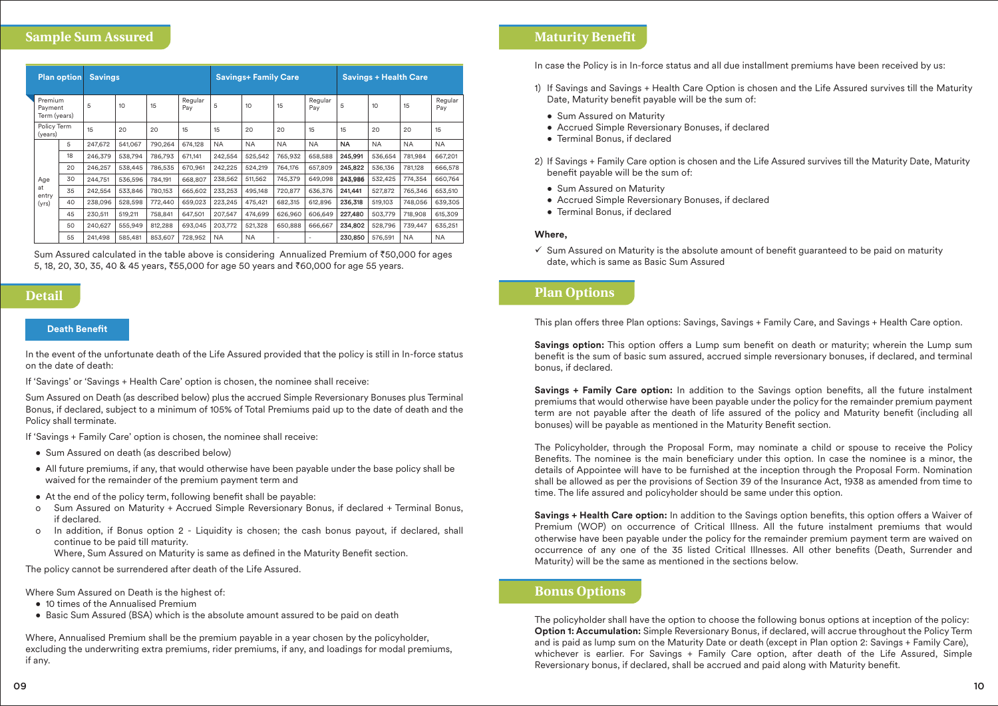# **Sample Sum Assured**

|  | <b>Plan option</b>                 |    | <b>Savings</b> |         |         |                | <b>Savings+ Family Care</b> |           |           | <b>Savings + Health Care</b> |           |           |           |                |
|--|------------------------------------|----|----------------|---------|---------|----------------|-----------------------------|-----------|-----------|------------------------------|-----------|-----------|-----------|----------------|
|  | Premium<br>Payment<br>Term (years) |    | 5              | 10      | 15      | Regular<br>Pay | 5                           | 10        | 15        | Regular<br>Pay               | 5         | 10        | 15        | Regular<br>Pay |
|  | Policy Term<br>(years)             |    | 15             | 20      | 20      | 15             | 15                          | 20        | 20        | 15                           | 15        | 20        | 20        | 15             |
|  |                                    | 5  | 247,672        | 541,067 | 790,264 | 674,128        | <b>NA</b>                   | <b>NA</b> | <b>NA</b> | <b>NA</b>                    | <b>NA</b> | <b>NA</b> | <b>NA</b> | <b>NA</b>      |
|  |                                    | 18 | 246,379        | 538.794 | 786,793 | 671,141        | 242,554                     | 525,542   | 765,932   | 658,588                      | 245,991   | 536,654   | 781,984   | 667,201        |
|  |                                    | 20 | 246.257        | 538,445 | 786,535 | 670,961        | 242,225                     | 524,219   | 764,176   | 657,809                      | 245,822   | 536,136   | 781,128   | 666,578        |
|  | Age                                | 30 | 244.751        | 536,596 | 784.191 | 668,807        | 238,562                     | 511,562   | 745,379   | 649,098                      | 243.986   | 532.425   | 774.354   | 660,764        |
|  | at<br>entry                        | 35 | 242.554        | 533.846 | 780,153 | 665,602        | 233,253                     | 495.148   | 720,877   | 636,376                      | 241.441   | 527,872   | 765.346   | 653,510        |
|  | (yrs)                              | 40 | 238,096        | 528,598 | 772,440 | 659,023        | 223,245                     | 475,421   | 682,315   | 612,896                      | 236,318   | 519,103   | 748,056   | 639,305        |
|  |                                    | 45 | 230,511        | 519,211 | 758,841 | 647,501        | 207,547                     | 474,699   | 626,960   | 606,649                      | 227,480   | 503,779   | 718,908   | 615,309        |
|  |                                    | 50 | 240,627        | 555,949 | 812,288 | 693,045        | 203,772                     | 521,328   | 650,888   | 666,667                      | 234,802   | 528,796   | 739,447   | 635,251        |
|  |                                    | 55 | 241.498        | 585.481 | 853,607 | 728,952        | <b>NA</b>                   | <b>NA</b> |           |                              | 230,850   | 576.591   | <b>NA</b> | <b>NA</b>      |

Sum Assured calculated in the table above is considering Annualized Premium of ₹50,000 for ages 5, 18, 20, 30, 35, 40 & 45 years, `55,000 for age 50 years and `60,000 for age 55 years.

# **Detail**

#### **Death Benet**

In the event of the unfortunate death of the Life Assured provided that the policy is still in In-force status on the date of death:

If 'Savings' or 'Savings + Health Care' option is chosen, the nominee shall receive:

Sum Assured on Death (as described below) plus the accrued Simple Reversionary Bonuses plus Terminal Bonus, if declared, subject to a minimum of 105% of Total Premiums paid up to the date of death and the Policy shall terminate.

If 'Savings + Family Care' option is chosen, the nominee shall receive:

- Sum Assured on death (as described below)
- All future premiums, if any, that would otherwise have been payable under the base policy shall be waived for the remainder of the premium payment term and
- $\bullet$  At the end of the policy term, following benefit shall be payable:
- o Sum Assured on Maturity + Accrued Simple Reversionary Bonus, if declared + Terminal Bonus, if declared.
- o In addition, if Bonus option 2 Liquidity is chosen; the cash bonus payout, if declared, shall continue to be paid till maturity.

Where, Sum Assured on Maturity is same as defined in the Maturity Benefit section.

The policy cannot be surrendered after death of the Life Assured.

Where Sum Assured on Death is the highest of:

- 10 times of the Annualised Premium
- Basic Sum Assured (BSA) which is the absolute amount assured to be paid on death

Where, Annualised Premium shall be the premium payable in a year chosen by the policyholder, excluding the underwriting extra premiums, rider premiums, if any, and loadings for modal premiums, if any.

In case the Policy is in In-force status and all due installment premiums have been received by us:

- 1) If Savings and Savings + Health Care Option is chosen and the Life Assured survives till the Maturity Date, Maturity benefit payable will be the sum of:
	- Sum Assured on Maturity
	- Accrued Simple Reversionary Bonuses, if declared
	- Terminal Bonus, if declared
- 2) If Savings + Family Care option is chosen and the Life Assured survives till the Maturity Date, Maturity benefit payable will be the sum of:
	- Sum Assured on Maturity
	- Accrued Simple Reversionary Bonuses, if declared
	- Terminal Bonus, if declared

#### **Where,**

 $\checkmark$  Sum Assured on Maturity is the absolute amount of benefit guaranteed to be paid on maturity date, which is same as Basic Sum Assured

# **Plan Options**

This plan offers three Plan options: Savings, Savings + Family Care, and Savings + Health Care option.

**Savings option:** This option offers a Lump sum benefit on death or maturity; wherein the Lump sum benefit is the sum of basic sum assured, accrued simple reversionary bonuses, if declared, and terminal bonus, if declared.

**Savings + Family Care option:** In addition to the Savings option benefits, all the future instalment premiums that would otherwise have been payable under the policy for the remainder premium payment term are not payable after the death of life assured of the policy and Maturity benefit (including all bonuses) will be payable as mentioned in the Maturity Benefit section.

The Policyholder, through the Proposal Form, may nominate a child or spouse to receive the Policy Benefits. The nominee is the main beneficiary under this option. In case the nominee is a minor, the details of Appointee will have to be furnished at the inception through the Proposal Form. Nomination shall be allowed as per the provisions of Section 39 of the Insurance Act, 1938 as amended from time to time. The life assured and policyholder should be same under this option.

Savings + Health Care option: In addition to the Savings option benefits, this option offers a Waiver of Premium (WOP) on occurrence of Critical Illness. All the future instalment premiums that would otherwise have been payable under the policy for the remainder premium payment term are waived on occurrence of any one of the 35 listed Critical Illnesses. All other benefits (Death, Surrender and Maturity) will be the same as mentioned in the sections below.

# **Bonus Options**

The policyholder shall have the option to choose the following bonus options at inception of the policy: **Option 1: Accumulation:** Simple Reversionary Bonus, if declared, will accrue throughout the Policy Term and is paid as lump sum on the Maturity Date or death (except in Plan option 2: Savings + Family Care), whichever is earlier. For Savings + Family Care option, after death of the Life Assured, Simple Reversionary bonus, if declared, shall be accrued and paid along with Maturity benet.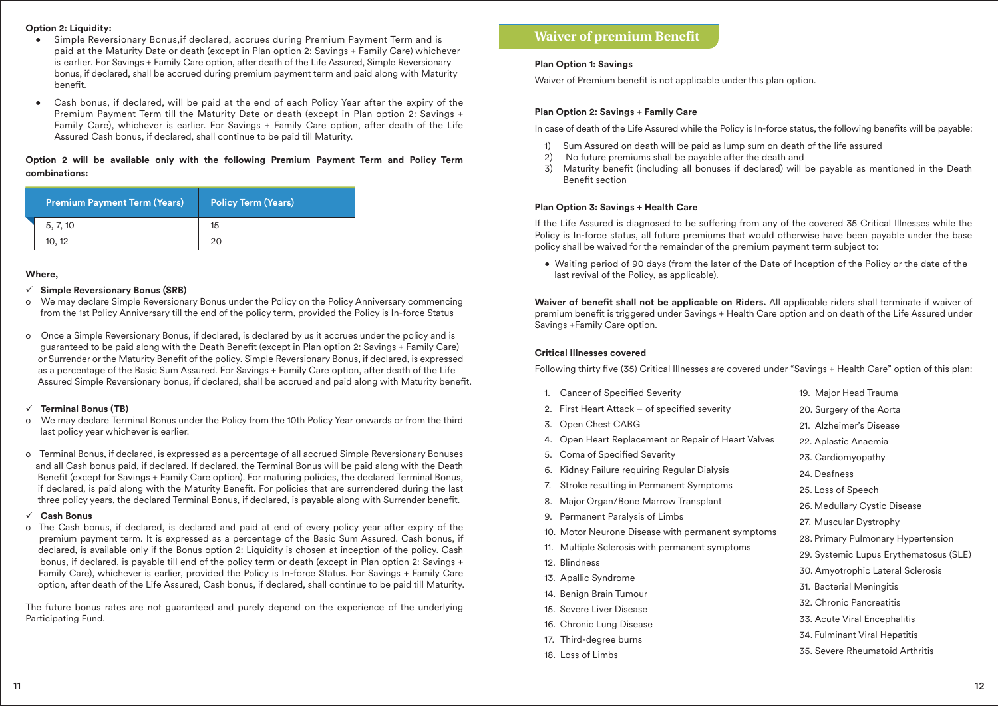#### **Option 2: Liquidity:**

- Simple Reversionary Bonus,if declared, accrues during Premium Payment Term and is paid at the Maturity Date or death (except in Plan option 2: Savings + Family Care) whichever is earlier. For Savings + Family Care option, after death of the Life Assured, Simple Reversionary bonus, if declared, shall be accrued during premium payment term and paid along with Maturity benet.
- Cash bonus, if declared, will be paid at the end of each Policy Year after the expiry of the Premium Payment Term till the Maturity Date or death (except in Plan option 2: Savings + Family Care), whichever is earlier. For Savings + Family Care option, after death of the Life Assured Cash bonus, if declared, shall continue to be paid till Maturity.

## **Option 2 will be available only with the following Premium Payment Term and Policy Term combinations:**

| <b>Premium Payment Term (Years)</b> | <b>Policy Term (Years)</b> |
|-------------------------------------|----------------------------|
| 5, 7, 10                            | 15                         |
| 10.12                               |                            |

#### **Where,**

#### ü **Simple Reversionary Bonus (SRB)**

- o We may declare Simple Reversionary Bonus under the Policy on the Policy Anniversary commencing from the 1st Policy Anniversary till the end of the policy term, provided the Policy is In-force Status
- o Once a Simple Reversionary Bonus, if declared, is declared by us it accrues under the policy and is guaranteed to be paid along with the Death Benefit (except in Plan option 2: Savings + Family Care) or Surrender or the Maturity Benefit of the policy. Simple Reversionary Bonus, if declared, is expressed as a percentage of the Basic Sum Assured. For Savings + Family Care option, after death of the Life Assured Simple Reversionary bonus, if declared, shall be accrued and paid along with Maturity benet.

#### ü **Terminal Bonus (TB)**

- o We may declare Terminal Bonus under the Policy from the 10th Policy Year onwards or from the third last policy year whichever is earlier.
- o Terminal Bonus, if declared, is expressed as a percentage of all accrued Simple Reversionary Bonuses and all Cash bonus paid, if declared. If declared, the Terminal Bonus will be paid along with the Death Benefit (except for Savings + Family Care option). For maturing policies, the declared Terminal Bonus, if declared, is paid along with the Maturity Benefit. For policies that are surrendered during the last three policy years, the declared Terminal Bonus, if declared, is payable along with Surrender benefit.

#### ü **Cash Bonus**

o The Cash bonus, if declared, is declared and paid at end of every policy year after expiry of the premium payment term. It is expressed as a percentage of the Basic Sum Assured. Cash bonus, if declared, is available only if the Bonus option 2: Liquidity is chosen at inception of the policy. Cash bonus, if declared, is payable till end of the policy term or death (except in Plan option 2: Savings + Family Care), whichever is earlier, provided the Policy is In-force Status. For Savings + Family Care option, after death of the Life Assured, Cash bonus, if declared, shall continue to be paid till Maturity.

The future bonus rates are not guaranteed and purely depend on the experience of the underlying Participating Fund.

# **Waiver of premium Benefit**

# **Plan Option 1: Savings**

Waiver of Premium benefit is not applicable under this plan option.

# **Plan Option 2: Savings + Family Care**

In case of death of the Life Assured while the Policy is In-force status, the following benets will be payable:

- 1) Sum Assured on death will be paid as lump sum on death of the life assured
- 2) No future premiums shall be payable after the death and
- 3) Maturity benefit (including all bonuses if declared) will be payable as mentioned in the Death Benefit section

# **Plan Option 3: Savings + Health Care**

If the Life Assured is diagnosed to be suffering from any of the covered 35 Critical Illnesses while the Policy is In-force status, all future premiums that would otherwise have been payable under the base policy shall be waived for the remainder of the premium payment term subject to:

 • Waiting period of 90 days (from the later of the Date of Inception of the Policy or the date of the last revival of the Policy, as applicable).

Waiver of benefit shall not be applicable on Riders. All applicable riders shall terminate if waiver of premium benefit is triggered under Savings + Health Care option and on death of the Life Assured under Savings +Family Care option.

#### **Critical Illnesses covered**

Following thirty five (35) Critical Illnesses are covered under "Savings + Health Care" option of this plan:

| 1. | Cancer of Specified Severity                      | 19. Major Head Trauma              |
|----|---------------------------------------------------|------------------------------------|
| 2. | First Heart Attack – of specified severity        | 20. Surgery of the Aorta           |
| 3. | Open Chest CABG                                   | 21. Alzheimer's Disease            |
| 4. | Open Heart Replacement or Repair of Heart Valves  | 22. Aplastic Anaemia               |
| 5. | Coma of Specified Severity                        | 23. Cardiomyopathy                 |
| 6. | Kidney Failure requiring Regular Dialysis         | 24. Deafness                       |
| 7. | Stroke resulting in Permanent Symptoms            | 25. Loss of Speech                 |
| 8. | Major Organ/Bone Marrow Transplant                | 26. Medullary Cystic Disease       |
|    | 9. Permanent Paralysis of Limbs                   | 27. Muscular Dystrophy             |
|    | 10. Motor Neurone Disease with permanent symptoms | 28. Primary Pulmonary Hypertension |
|    | 11. Multiple Sclerosis with permanent symptoms    | 29. Systemic Lupus Erythematosus ( |
|    | 12. Blindness                                     | 30. Amyotrophic Lateral Sclerosis  |
|    | 13. Apallic Syndrome                              | 31. Bacterial Meningitis           |
|    | 14. Benign Brain Tumour                           | 32. Chronic Pancreatitis           |
|    | 15. Severe Liver Disease                          | 33. Acute Viral Encephalitis       |
|    | 16. Chronic Lung Disease                          |                                    |
|    | 17. Third-degree burns                            | 34. Fulminant Viral Hepatitis      |
|    | 18. Loss of Limbs                                 | 35. Severe Rheumatoid Arthritis    |

 $(SLE)$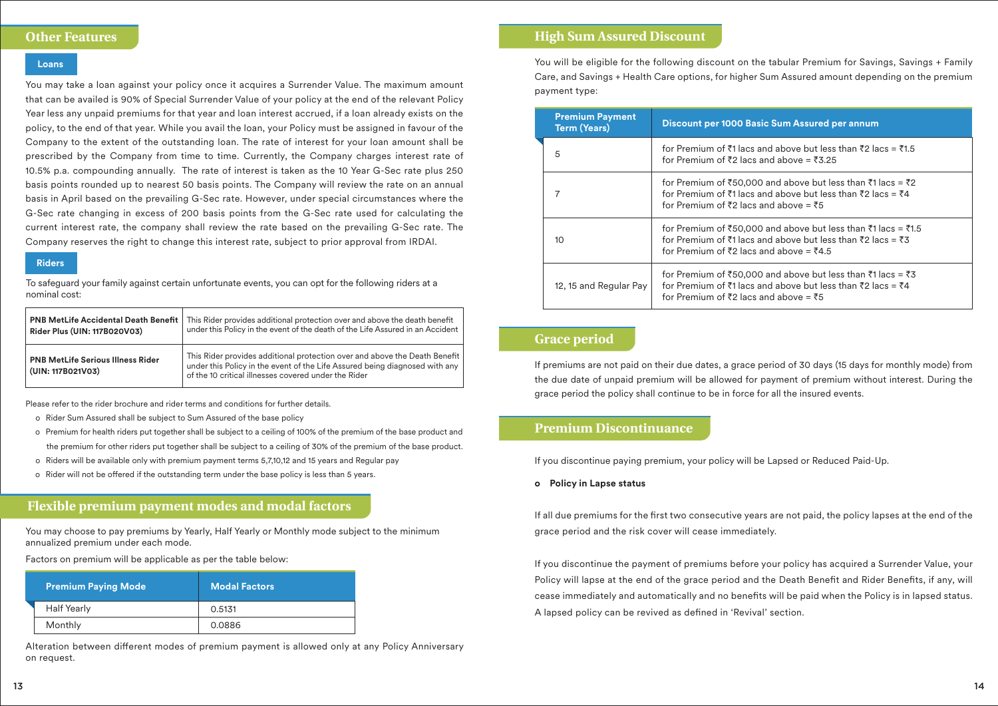# **Other Features**

#### **Loans**

You may take a loan against your policy once it acquires a Surrender Value. The maximum amount that can be availed is 90% of Special Surrender Value of your policy at the end of the relevant Policy Year less any unpaid premiums for that year and loan interest accrued, if a loan already exists on the policy, to the end of that year. While you avail the loan, your Policy must be assigned in favour of the Company to the extent of the outstanding loan. The rate of interest for your loan amount shall be prescribed by the Company from time to time. Currently, the Company charges interest rate of 10.5% p.a. compounding annually. The rate of interest is taken as the 10 Year G-Sec rate plus 250 basis points rounded up to nearest 50 basis points. The Company will review the rate on an annual basis in April based on the prevailing G-Sec rate. However, under special circumstances where the G-Sec rate changing in excess of 200 basis points from the G-Sec rate used for calculating the current interest rate, the company shall review the rate based on the prevailing G-Sec rate. The Company reserves the right to change this interest rate, subject to prior approval from IRDAI.

#### **Riders**

To safeguard your family against certain unfortunate events, you can opt for the following riders at a nominal cost:

| <b>PNB MetLife Accidental Death Benefit</b>                   | This Rider provides additional protection over and above the death benefit                                                                                                                                        |
|---------------------------------------------------------------|-------------------------------------------------------------------------------------------------------------------------------------------------------------------------------------------------------------------|
| Rider Plus (UIN: 117B020V03)                                  | under this Policy in the event of the death of the Life Assured in an Accident                                                                                                                                    |
| <b>PNB MetLife Serious Illness Rider</b><br>(UIN: 117B021V03) | This Rider provides additional protection over and above the Death Benefit<br>under this Policy in the event of the Life Assured being diagnosed with any<br>of the 10 critical illnesses covered under the Rider |

Please refer to the rider brochure and rider terms and conditions for further details.

- o Rider Sum Assured shall be subject to Sum Assured of the base policy
- o Premium for health riders put together shall be subject to a ceiling of 100% of the premium of the base product and the premium for other riders put together shall be subject to a ceiling of 30% of the premium of the base product.
- o Riders will be available only with premium payment terms 5,7,10,12 and 15 years and Regular pay
- o Rider will not be offered if the outstanding term under the base policy is less than 5 years.

# **Flexible premium payment modes and modal factors**

You may choose to pay premiums by Yearly, Half Yearly or Monthly mode subject to the minimum annualized premium under each mode.

Factors on premium will be applicable as per the table below:

| <b>Premium Paying Mode</b> , | <b>Modal Factors</b> |
|------------------------------|----------------------|
| <b>Half Yearly</b>           | 0.5131               |
| Monthly                      | 0.0886               |

Alteration between different modes of premium payment is allowed only at any Policy Anniversary on request.

# **High Sum Assured Discount**

You will be eligible for the following discount on the tabular Premium for Savings, Savings + Family Care, and Savings + Health Care options, for higher Sum Assured amount depending on the premium payment type:

| <b>Premium Payment</b><br><b>Term (Years)</b> | Discount per 1000 Basic Sum Assured per annum                                                                                                                                          |
|-----------------------------------------------|----------------------------------------------------------------------------------------------------------------------------------------------------------------------------------------|
| 5                                             | for Premium of $\bar{z}1$ lacs and above but less than $\bar{z}2$ lacs = $\bar{z}1.5$<br>for Premium of ₹2 lacs and above = ₹3.25                                                      |
|                                               | for Premium of ₹50,000 and above but less than ₹1 lacs = ₹2<br>for Premium of ₹1 lacs and above but less than ₹2 lacs = ₹4<br>for Premium of ₹2 lacs and above = ₹5                    |
| 10 <sup>2</sup>                               | for Premium of ₹50,000 and above but less than ₹1 lacs = ₹1.5<br>for Premium of ₹1 lacs and above but less than ₹2 lacs = ₹3<br>for Premium of $\bar{z}$ acs and above = $\bar{z}$ 4.5 |
| 12, 15 and Regular Pay                        | for Premium of ₹50,000 and above but less than ₹1 lacs = ₹3<br>for Premium of ₹1 lacs and above but less than ₹2 lacs = ₹4<br>for Premium of ₹2 lacs and above = ₹5                    |

# **Grace period**

If premiums are not paid on their due dates, a grace period of 30 days (15 days for monthly mode) from the due date of unpaid premium will be allowed for payment of premium without interest. During the grace period the policy shall continue to be in force for all the insured events.

# **Premium Discontinuance**

If you discontinue paying premium, your policy will be Lapsed or Reduced Paid-Up.

**o Policy in Lapse status**

If all due premiums for the first two consecutive years are not paid, the policy lapses at the end of the grace period and the risk cover will cease immediately.

If you discontinue the payment of premiums before your policy has acquired a Surrender Value, your Policy will lapse at the end of the grace period and the Death Benefit and Rider Benefits, if any, will cease immediately and automatically and no benefits will be paid when the Policy is in lapsed status. A lapsed policy can be revived as defined in 'Revival' section.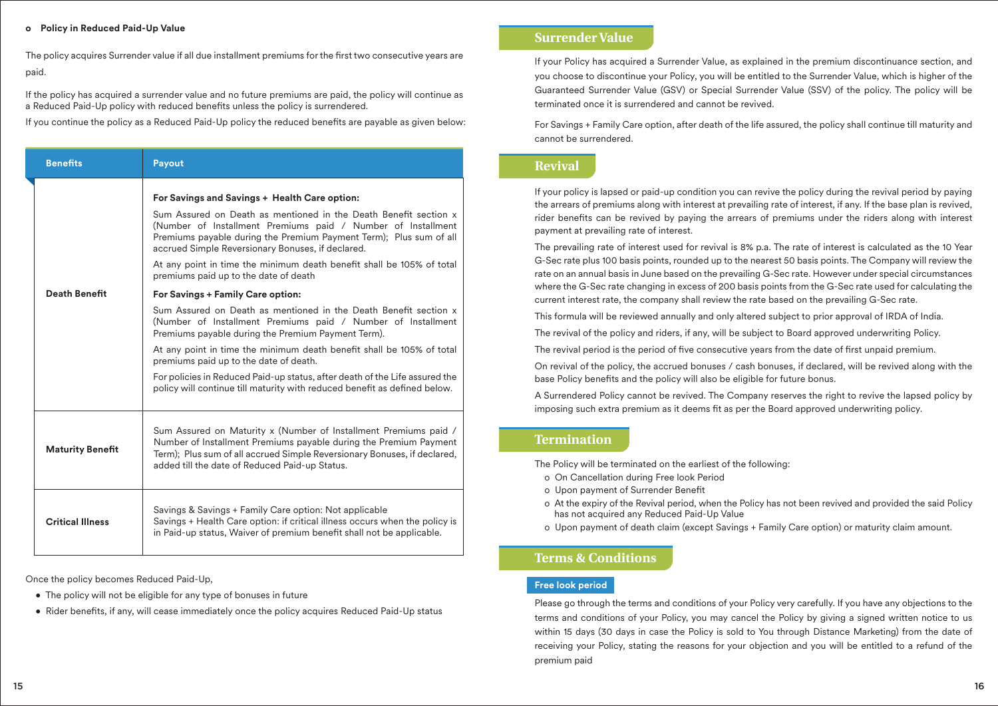### **o Policy in Reduced Paid-Up Value**

The policy acquires Surrender value if all due installment premiums for the first two consecutive years are paid.

If the policy has acquired a surrender value and no future premiums are paid, the policy will continue as a Reduced Paid-Up policy with reduced benefits unless the policy is surrendered.

If you continue the policy as a Reduced Paid-Up policy the reduced benefits are payable as given below:

| <b>Benefits</b>         | Payout                                                                                                                                                                                                                                                                                                                                                                                                                                                                                                                                                                                                                                                                                                                                                                                                                                                                                                                                       |
|-------------------------|----------------------------------------------------------------------------------------------------------------------------------------------------------------------------------------------------------------------------------------------------------------------------------------------------------------------------------------------------------------------------------------------------------------------------------------------------------------------------------------------------------------------------------------------------------------------------------------------------------------------------------------------------------------------------------------------------------------------------------------------------------------------------------------------------------------------------------------------------------------------------------------------------------------------------------------------|
| <b>Death Benefit</b>    | For Savings and Savings + Health Care option:<br>Sum Assured on Death as mentioned in the Death Benefit section x<br>(Number of Installment Premiums paid / Number of Installment<br>Premiums payable during the Premium Payment Term); Plus sum of all<br>accrued Simple Reversionary Bonuses, if declared.<br>At any point in time the minimum death benefit shall be 105% of total<br>premiums paid up to the date of death<br>For Savings + Family Care option:<br>Sum Assured on Death as mentioned in the Death Benefit section x<br>(Number of Installment Premiums paid / Number of Installment<br>Premiums payable during the Premium Payment Term).<br>At any point in time the minimum death benefit shall be 105% of total<br>premiums paid up to the date of death.<br>For policies in Reduced Paid-up status, after death of the Life assured the<br>policy will continue till maturity with reduced benefit as defined below. |
| <b>Maturity Benefit</b> | Sum Assured on Maturity x (Number of Installment Premiums paid /<br>Number of Installment Premiums payable during the Premium Payment<br>Term); Plus sum of all accrued Simple Reversionary Bonuses, if declared,<br>added till the date of Reduced Paid-up Status.                                                                                                                                                                                                                                                                                                                                                                                                                                                                                                                                                                                                                                                                          |
| <b>Critical Illness</b> | Savings & Savings + Family Care option: Not applicable<br>Savings + Health Care option: if critical illness occurs when the policy is<br>in Paid-up status, Waiver of premium benefit shall not be applicable.                                                                                                                                                                                                                                                                                                                                                                                                                                                                                                                                                                                                                                                                                                                               |

Once the policy becomes Reduced Paid-Up,

- The policy will not be eligible for any type of bonuses in future
- Rider benefits, if any, will cease immediately once the policy acquires Reduced Paid-Up status

# **Surrender Value**

If your Policy has acquired a Surrender Value, as explained in the premium discontinuance section, and you choose to discontinue your Policy, you will be entitled to the Surrender Value, which is higher of the Guaranteed Surrender Value (GSV) or Special Surrender Value (SSV) of the policy. The policy will be terminated once it is surrendered and cannot be revived.

For Savings + Family Care option, after death of the life assured, the policy shall continue till maturity and cannot be surrendered.

# **Revival**

If your policy is lapsed or paid-up condition you can revive the policy during the revival period by paying the arrears of premiums along with interest at prevailing rate of interest, if any. If the base plan is revived, rider benefits can be revived by paying the arrears of premiums under the riders along with interest payment at prevailing rate of interest.

The prevailing rate of interest used for revival is 8% p.a. The rate of interest is calculated as the 10 Year G-Sec rate plus 100 basis points, rounded up to the nearest 50 basis points. The Company will review the rate on an annual basis in June based on the prevailing G-Sec rate. However under special circumstances where the G-Sec rate changing in excess of 200 basis points from the G-Sec rate used for calculating the current interest rate, the company shall review the rate based on the prevailing G-Sec rate.

This formula will be reviewed annually and only altered subject to prior approval of IRDA of India.

The revival of the policy and riders, if any, will be subject to Board approved underwriting Policy.

The revival period is the period of five consecutive years from the date of first unpaid premium.

On revival of the policy, the accrued bonuses / cash bonuses, if declared, will be revived along with the base Policy benefits and the policy will also be eligible for future bonus.

A Surrendered Policy cannot be revived. The Company reserves the right to revive the lapsed policy by imposing such extra premium as it deems fit as per the Board approved underwriting policy.

# **Termination**

The Policy will be terminated on the earliest of the following:

- o On Cancellation during Free look Period
- o Upon payment of Surrender Benefit
- o At the expiry of the Revival period, when the Policy has not been revived and provided the said Policy has not acquired any Reduced Paid-Up Value
- o Upon payment of death claim (except Savings + Family Care option) or maturity claim amount.

# **Terms & Conditions**

# **Free look period**

Please go through the terms and conditions of your Policy very carefully. If you have any objections to the terms and conditions of your Policy, you may cancel the Policy by giving a signed written notice to us within 15 days (30 days in case the Policy is sold to You through Distance Marketing) from the date of receiving your Policy, stating the reasons for your objection and you will be entitled to a refund of the premium paid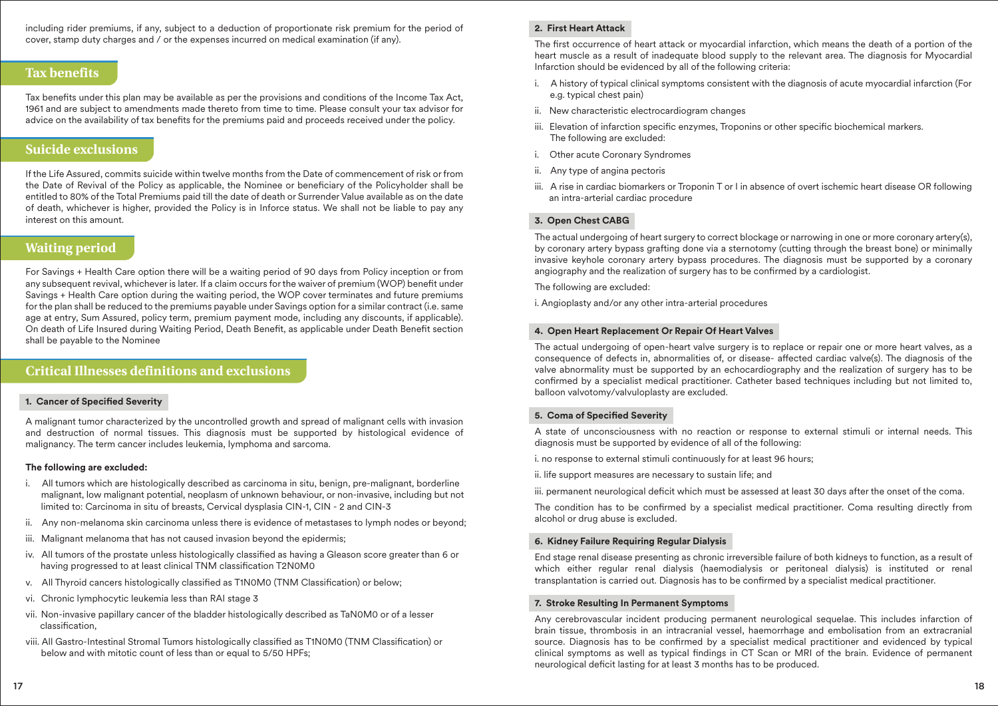including rider premiums, if any, subject to a deduction of proportionate risk premium for the period of cover, stamp duty charges and / or the expenses incurred on medical examination (if any).

# **Tax benefits**

Tax benefits under this plan may be available as per the provisions and conditions of the Income Tax Act, 1961 and are subject to amendments made thereto from time to time. Please consult your tax advisor for advice on the availability of tax benefits for the premiums paid and proceeds received under the policy.

# **Suicide exclusions**

If the Life Assured, commits suicide within twelve months from the Date of commencement of risk or from the Date of Revival of the Policy as applicable, the Nominee or beneficiary of the Policyholder shall be entitled to 80% of the Total Premiums paid till the date of death or Surrender Value available as on the date of death, whichever is higher, provided the Policy is in Inforce status. We shall not be liable to pay any interest on this amount.

# **Waiting period**

For Savings + Health Care option there will be a waiting period of 90 days from Policy inception or from any subsequent revival, whichever is later. If a claim occurs for the waiver of premium (WOP) benefit under Savings + Health Care option during the waiting period, the WOP cover terminates and future premiums for the plan shall be reduced to the premiums payable under Savings option for a similar contract (i.e. same age at entry, Sum Assured, policy term, premium payment mode, including any discounts, if applicable). On death of Life Insured during Waiting Period, Death Benefit, as applicable under Death Benefit section shall be payable to the Nominee

# **Critical Illnesses definitions and exclusions**

# **1. Cancer of Specified Severity**

A malignant tumor characterized by the uncontrolled growth and spread of malignant cells with invasion and destruction of normal tissues. This diagnosis must be supported by histological evidence of malignancy. The term cancer includes leukemia, lymphoma and sarcoma.

## **The following are excluded:**

- i. All tumors which are histologically described as carcinoma in situ, benign, pre-malignant, borderline malignant, low malignant potential, neoplasm of unknown behaviour, or non-invasive, including but not limited to: Carcinoma in situ of breasts, Cervical dysplasia CIN-1, CIN - 2 and CIN-3
- ii. Any non-melanoma skin carcinoma unless there is evidence of metastases to lymph nodes or beyond;
- iii. Malignant melanoma that has not caused invasion beyond the epidermis;
- iv. All tumors of the prostate unless histologically classified as having a Gleason score greater than 6 or having progressed to at least clinical TNM classification T2N0M0
- v. All Thyroid cancers histologically classified as T1N0M0 (TNM Classification) or below;
- vi. Chronic lymphocytic leukemia less than RAI stage 3
- vii. Non-invasive papillary cancer of the bladder histologically described as TaN0M0 or of a lesser classification.
- viii. All Gastro-Intestinal Stromal Tumors histologically classified as T1N0M0 (TNM Classification) or below and with mitotic count of less than or equal to 5/50 HPFs;

# **2. First Heart Attack**

The first occurrence of heart attack or myocardial infarction, which means the death of a portion of the heart muscle as a result of inadequate blood supply to the relevant area. The diagnosis for Myocardial Infarction should be evidenced by all of the following criteria:

- i. A history of typical clinical symptoms consistent with the diagnosis of acute myocardial infarction (For e.g. typical chest pain)
- ii. New characteristic electrocardiogram changes
- iii. Elevation of infarction specific enzymes, Troponins or other specific biochemical markers. The following are excluded:
- i. Other acute Coronary Syndromes
- ii. Any type of angina pectoris
- iii. A rise in cardiac biomarkers or Troponin T or I in absence of overt ischemic heart disease OR following an intra-arterial cardiac procedure

# **3. Open Chest CABG**

The actual undergoing of heart surgery to correct blockage or narrowing in one or more coronary artery(s), by coronary artery bypass grafting done via a sternotomy (cutting through the breast bone) or minimally invasive keyhole coronary artery bypass procedures. The diagnosis must be supported by a coronary angiography and the realization of surgery has to be confirmed by a cardiologist.

The following are excluded:

i. Angioplasty and/or any other intra-arterial procedures

#### **4. Open Heart Replacement Or Repair Of Heart Valves**

The actual undergoing of open-heart valve surgery is to replace or repair one or more heart valves, as a consequence of defects in, abnormalities of, or disease- affected cardiac valve(s). The diagnosis of the valve abnormality must be supported by an echocardiography and the realization of surgery has to be confirmed by a specialist medical practitioner. Catheter based techniques including but not limited to, balloon valvotomy/valvuloplasty are excluded.

## **5. Coma of Specified Severity**

A state of unconsciousness with no reaction or response to external stimuli or internal needs. This diagnosis must be supported by evidence of all of the following:

- i. no response to external stimuli continuously for at least 96 hours;
- ii. life support measures are necessary to sustain life; and

iii. permanent neurological deficit which must be assessed at least 30 days after the onset of the coma.

The condition has to be confirmed by a specialist medical practitioner. Coma resulting directly from alcohol or drug abuse is excluded.

# **6. Kidney Failure Requiring Regular Dialysis**

End stage renal disease presenting as chronic irreversible failure of both kidneys to function, as a result of which either regular renal dialysis (haemodialysis or peritoneal dialysis) is instituted or renal transplantation is carried out. Diagnosis has to be confirmed by a specialist medical practitioner.

## **7. Stroke Resulting In Permanent Symptoms**

Any cerebrovascular incident producing permanent neurological sequelae. This includes infarction of brain tissue, thrombosis in an intracranial vessel, haemorrhage and embolisation from an extracranial source. Diagnosis has to be confirmed by a specialist medical practitioner and evidenced by typical clinical symptoms as well as typical findings in CT Scan or MRI of the brain. Evidence of permanent neurological deficit lasting for at least 3 months has to be produced.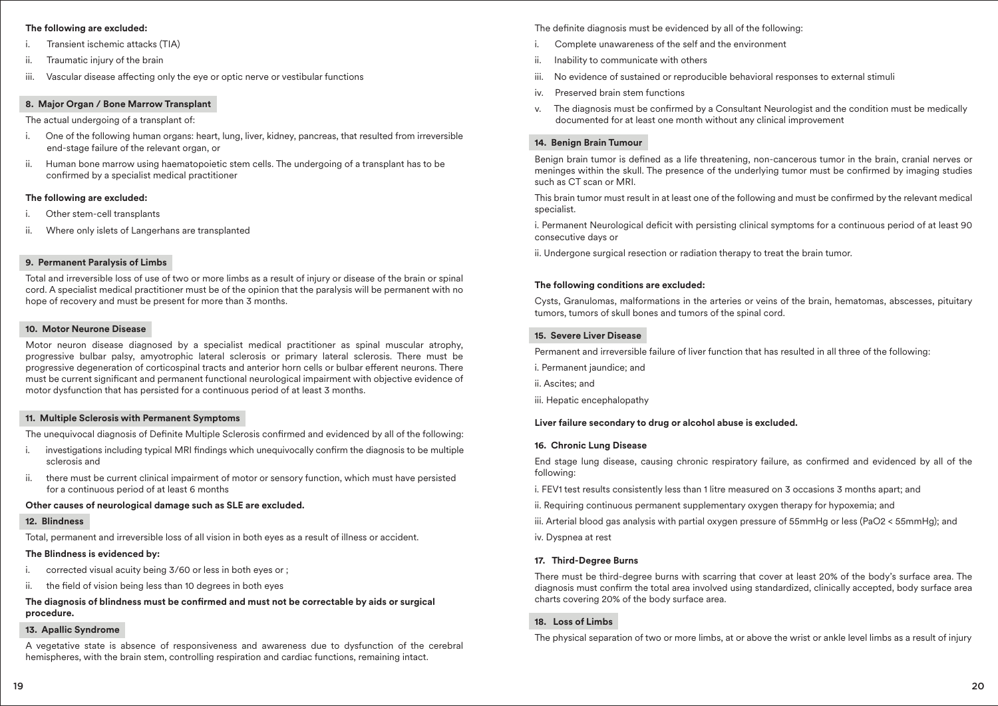#### **The following are excluded:**

- Transient ischemic attacks (TIA)
- Traumatic injury of the brain
- iii. Vascular disease affecting only the eye or optic nerve or vestibular functions

#### **8. Major Organ / Bone Marrow Transplant**

The actual undergoing of a transplant of:

- i. One of the following human organs: heart, lung, liver, kidney, pancreas, that resulted from irreversible end-stage failure of the relevant organ, or
- ii. Human bone marrow using haematopoietic stem cells. The undergoing of a transplant has to be confirmed by a specialist medical practitioner

### **The following are excluded:**

- Other stem-cell transplants
- ii. Where only islets of Langerhans are transplanted

## **9. Permanent Paralysis of Limbs**

Total and irreversible loss of use of two or more limbs as a result of injury or disease of the brain or spinal cord. A specialist medical practitioner must be of the opinion that the paralysis will be permanent with no hope of recovery and must be present for more than 3 months.

### **10. Motor Neurone Disease**

Motor neuron disease diagnosed by a specialist medical practitioner as spinal muscular atrophy, progressive bulbar palsy, amyotrophic lateral sclerosis or primary lateral sclerosis. There must be progressive degeneration of corticospinal tracts and anterior horn cells or bulbar efferent neurons. There must be current signicant and permanent functional neurological impairment with objective evidence of motor dysfunction that has persisted for a continuous period of at least 3 months.

#### **11. Multiple Sclerosis with Permanent Symptoms**

The unequivocal diagnosis of Definite Multiple Sclerosis confirmed and evidenced by all of the following:

- i. investigations including typical MRI findings which unequivocally confirm the diagnosis to be multiple sclerosis and
- ii. there must be current clinical impairment of motor or sensory function, which must have persisted for a continuous period of at least 6 months

#### **Other causes of neurological damage such as SLE are excluded.**

#### **12. Blindness**

Total, permanent and irreversible loss of all vision in both eyes as a result of illness or accident.

#### **The Blindness is evidenced by:**

- i. corrected visual acuity being 3/60 or less in both eyes or ;
- ii. the field of vision being less than 10 degrees in both eyes

#### The diagnosis of blindness must be confirmed and must not be correctable by aids or surgical **procedure.**

#### **13. Apallic Syndrome**

A vegetative state is absence of responsiveness and awareness due to dysfunction of the cerebral hemispheres, with the brain stem, controlling respiration and cardiac functions, remaining intact.

The definite diagnosis must be evidenced by all of the following:

- Complete unawareness of the self and the environment
- ii. Inability to communicate with others
- iii. No evidence of sustained or reproducible behavioral responses to external stimuli
- iv. Preserved brain stem functions
- v. The diagnosis must be confirmed by a Consultant Neurologist and the condition must be medically documented for at least one month without any clinical improvement

# **14. Benign Brain Tumour**

Benign brain tumor is defined as a life threatening, non-cancerous tumor in the brain, cranial nerves or meninges within the skull. The presence of the underlying tumor must be confirmed by imaging studies such as CT scan or MRI.

This brain tumor must result in at least one of the following and must be confirmed by the relevant medical specialist.

i. Permanent Neurological deficit with persisting clinical symptoms for a continuous period of at least 90 consecutive days or

ii. Undergone surgical resection or radiation therapy to treat the brain tumor.

## **The following conditions are excluded:**

Cysts, Granulomas, malformations in the arteries or veins of the brain, hematomas, abscesses, pituitary tumors, tumors of skull bones and tumors of the spinal cord.

### **15. Severe Liver Disease**

Permanent and irreversible failure of liver function that has resulted in all three of the following:

- i. Permanent jaundice; and
- ii. Ascites; and
- iii. Hepatic encephalopathy

#### **Liver failure secondary to drug or alcohol abuse is excluded.**

#### **16. Chronic Lung Disease**

End stage lung disease, causing chronic respiratory failure, as confirmed and evidenced by all of the following:

- i. FEV1 test results consistently less than 1 litre measured on 3 occasions 3 months apart; and
- ii. Requiring continuous permanent supplementary oxygen therapy for hypoxemia; and
- iii. Arterial blood gas analysis with partial oxygen pressure of 55mmHg or less (PaO2 < 55mmHg); and
- iv. Dyspnea at rest

#### **17. Third-Degree Burns**

There must be third-degree burns with scarring that cover at least 20% of the body's surface area. The diagnosis must confirm the total area involved using standardized, clinically accepted, body surface area charts covering 20% of the body surface area.

# **18. Loss of Limbs**

The physical separation of two or more limbs, at or above the wrist or ankle level limbs as a result of injury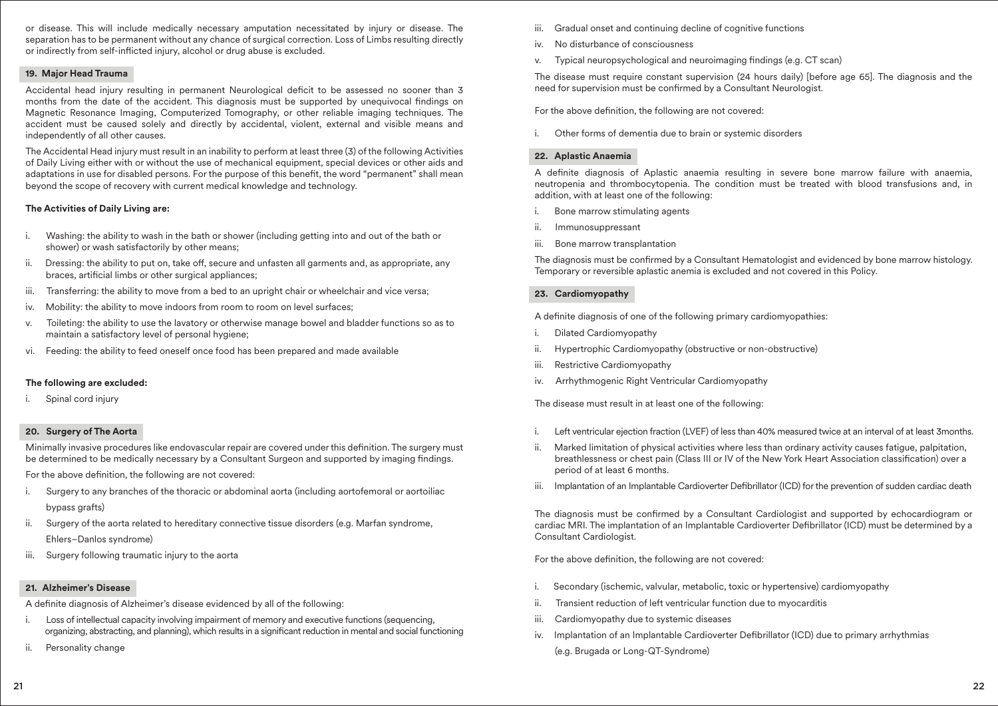or disease. This will include medically necessary amputation necessitated by injury or disease. The separation has to be permanent without any chance of surgical correction. Loss of Limbs resulting directly or indirectly from self-inflicted injury, alcohol or drug abuse is excluded.

#### **19. Major Head Trauma**

Accidental head injury resulting in permanent Neurological deficit to be assessed no sooner than 3 months from the date of the accident. This diagnosis must be supported by unequivocal findings on Magnetic Resonance Imaging, Computerized Tomography, or other reliable imaging techniques. The accident must be caused solely and directly by accidental, violent, external and visible means and independently of all other causes.

The Accidental Head injury must result in an inability to perform at least three (3) of the following Activities of Daily Living either with or without the use of mechanical equipment, special devices or other aids and adaptations in use for disabled persons. For the purpose of this benefit, the word "permanent" shall mean beyond the scope of recovery with current medical knowledge and technology.

#### **The Activities of Daily Living are:**

- Washing: the ability to wash in the bath or shower (including getting into and out of the bath or shower) or wash satisfactorily by other means;
- ii. Dressing: the ability to put on, take off, secure and unfasten all garments and, as appropriate, any braces, artificial limbs or other surgical appliances;
- iii. Transferring: the ability to move from a bed to an upright chair or wheelchair and vice versa;
- iv. Mobility: the ability to move indoors from room to room on level surfaces;
- v. Toileting: the ability to use the lavatory or otherwise manage bowel and bladder functions so as to maintain a satisfactory level of personal hygiene;
- vi. Feeding: the ability to feed oneself once food has been prepared and made available

#### **The following are excluded:**

Spinal cord injury

#### **20. Surgery of The Aorta**

Minimally invasive procedures like endovascular repair are covered under this definition. The surgery must be determined to be medically necessary by a Consultant Surgeon and supported by imaging findings.

For the above definition, the following are not covered:

- i. Surgery to any branches of the thoracic or abdominal aorta (including aortofemoral or aortoiliac bypass grafts)
- ii. Surgery of the aorta related to hereditary connective tissue disorders (e.g. Marfan syndrome, Ehlers–Danlos syndrome)
- iii. Surgery following traumatic injury to the aorta

#### **21. Alzheimer's Disease**

A definite diagnosis of Alzheimer's disease evidenced by all of the following:

- i. Loss of intellectual capacity involving impairment of memory and executive functions (sequencing, organizing, abstracting, and planning), which results in a significant reduction in mental and social functioning
- ii. Personality change
- iii. Gradual onset and continuing decline of cognitive functions
- iv. No disturbance of consciousness
- v. Typical neuropsychological and neuroimaging findings (e.g. CT scan)

The disease must require constant supervision (24 hours daily) [before age 65]. The diagnosis and the need for supervision must be confirmed by a Consultant Neurologist.

For the above definition, the following are not covered:

i. Other forms of dementia due to brain or systemic disorders

#### **22. Aplastic Anaemia**

A definite diagnosis of Aplastic anaemia resulting in severe bone marrow failure with anaemia, neutropenia and thrombocytopenia. The condition must be treated with blood transfusions and, in addition, with at least one of the following:

- i. Bone marrow stimulating agents
- ii. Immunosuppressant
- iii. Bone marrow transplantation

The diagnosis must be confirmed by a Consultant Hematologist and evidenced by bone marrow histology. Temporary or reversible aplastic anemia is excluded and not covered in this Policy.

# **23. Cardiomyopathy**

A definite diagnosis of one of the following primary cardiomyopathies:

- i. Dilated Cardiomyopathy
- ii. Hypertrophic Cardiomyopathy (obstructive or non-obstructive)
- iii. Restrictive Cardiomyopathy
- iv. Arrhythmogenic Right Ventricular Cardiomyopathy

The disease must result in at least one of the following:

- i. Left ventricular ejection fraction (LVEF) of less than 40% measured twice at an interval of at least 3months.
- ii. Marked limitation of physical activities where less than ordinary activity causes fatigue, palpitation, breathlessness or chest pain (Class III or IV of the New York Heart Association classification) over a period of at least 6 months.
- iii. Implantation of an Implantable Cardioverter Defibrillator (ICD) for the prevention of sudden cardiac death

The diagnosis must be confirmed by a Consultant Cardiologist and supported by echocardiogram or cardiac MRI. The implantation of an Implantable Cardioverter Defibrillator (ICD) must be determined by a Consultant Cardiologist.

For the above definition, the following are not covered:

- i. Secondary (ischemic, valvular, metabolic, toxic or hypertensive) cardiomyopathy
- ii. Transient reduction of left ventricular function due to myocarditis
- iii. Cardiomyopathy due to systemic diseases
- iv. Implantation of an Implantable Cardioverter Defibrillator (ICD) due to primary arrhythmias
	- (e.g. Brugada or Long-QT-Syndrome)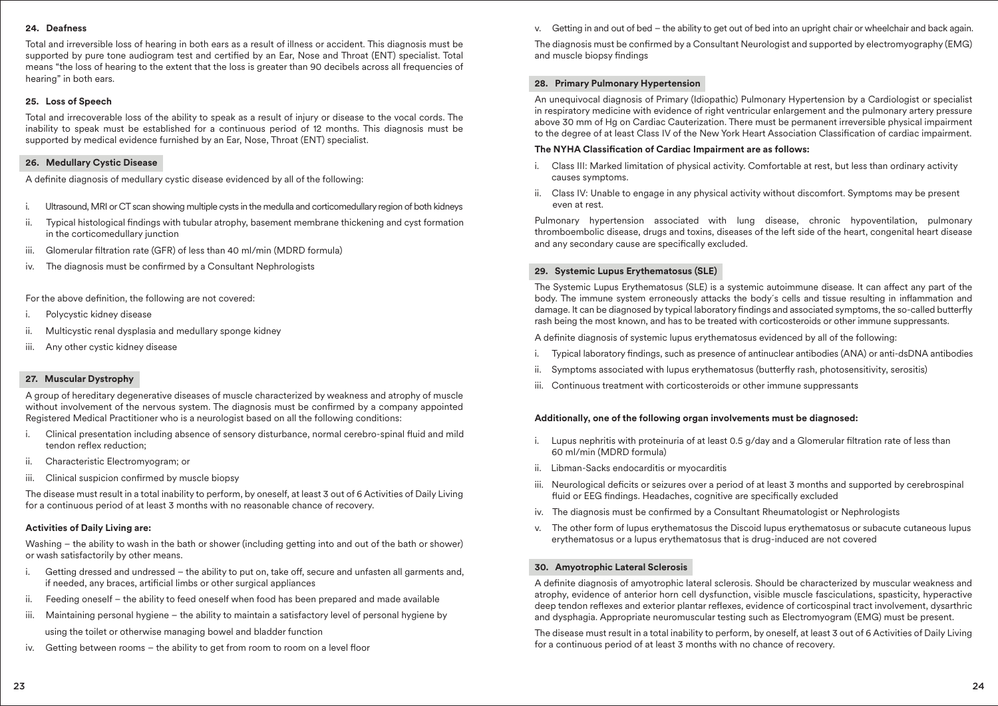#### **24. Deafness**

Total and irreversible loss of hearing in both ears as a result of illness or accident. This diagnosis must be supported by pure tone audiogram test and certified by an Ear, Nose and Throat (ENT) specialist. Total means "the loss of hearing to the extent that the loss is greater than 90 decibels across all frequencies of hearing" in both ears.

#### **25. Loss of Speech**

Total and irrecoverable loss of the ability to speak as a result of injury or disease to the vocal cords. The inability to speak must be established for a continuous period of 12 months. This diagnosis must be supported by medical evidence furnished by an Ear, Nose, Throat (ENT) specialist.

#### **26. Medullary Cystic Disease**

A definite diagnosis of medullary cystic disease evidenced by all of the following:

- i. Ultrasound, MRI or CT scan showing multiple cysts in the medulla and corticomedullary region of both kidneys
- ii. Typical histological findings with tubular atrophy, basement membrane thickening and cyst formation in the corticomedullary junction
- iii. Glomerular filtration rate (GFR) of less than 40 ml/min (MDRD formula)
- iv. The diagnosis must be confirmed by a Consultant Nephrologists

For the above definition, the following are not covered:

- Polycystic kidney disease
- ii. Multicystic renal dysplasia and medullary sponge kidney
- iii. Any other cystic kidney disease

## **27. Muscular Dystrophy**

A group of hereditary degenerative diseases of muscle characterized by weakness and atrophy of muscle without involvement of the nervous system. The diagnosis must be confirmed by a company appointed Registered Medical Practitioner who is a neurologist based on all the following conditions:

- i. Clinical presentation including absence of sensory disturbance, normal cerebro-spinal fluid and mild tendon reflex reduction:
- ii. Characteristic Electromyogram; or
- iii. Clinical suspicion confirmed by muscle biopsy

The disease must result in a total inability to perform, by oneself, at least 3 out of 6 Activities of Daily Living for a continuous period of at least 3 months with no reasonable chance of recovery.

#### **Activities of Daily Living are:**

Washing – the ability to wash in the bath or shower (including getting into and out of the bath or shower) or wash satisfactorily by other means.

- i. Getting dressed and undressed the ability to put on, take off, secure and unfasten all garments and, if needed, any braces, artificial limbs or other surgical appliances
- ii. Feeding oneself the ability to feed oneself when food has been prepared and made available
- iii. Maintaining personal hygiene the ability to maintain a satisfactory level of personal hygiene by using the toilet or otherwise managing bowel and bladder function
- iv. Getting between rooms  $-$  the ability to get from room to room on a level floor

v. Getting in and out of bed – the ability to get out of bed into an upright chair or wheelchair and back again.

The diagnosis must be confirmed by a Consultant Neurologist and supported by electromyography (EMG) and muscle biopsy findings

# **28. Primary Pulmonary Hypertension**

An unequivocal diagnosis of Primary (Idiopathic) Pulmonary Hypertension by a Cardiologist or specialist in respiratory medicine with evidence of right ventricular enlargement and the pulmonary artery pressure above 30 mm of Hg on Cardiac Cauterization. There must be permanent irreversible physical impairment to the degree of at least Class IV of the New York Heart Association Classification of cardiac impairment.

# **The NYHA Classification of Cardiac Impairment are as follows:**

- i. Class III: Marked limitation of physical activity. Comfortable at rest, but less than ordinary activity causes symptoms.
- ii. Class IV: Unable to engage in any physical activity without discomfort. Symptoms may be present even at rest.

Pulmonary hypertension associated with lung disease, chronic hypoventilation, pulmonary thromboembolic disease, drugs and toxins, diseases of the left side of the heart, congenital heart disease and any secondary cause are specifically excluded.

#### **29. Systemic Lupus Erythematosus (SLE)**

The Systemic Lupus Erythematosus (SLE) is a systemic autoimmune disease. It can affect any part of the body. The immune system erroneously attacks the body's cells and tissue resulting in inflammation and damage. It can be diagnosed by typical laboratory findings and associated symptoms, the so-called butterfly rash being the most known, and has to be treated with corticosteroids or other immune suppressants.

A definite diagnosis of systemic lupus erythematosus evidenced by all of the following:

- i. Typical laboratory findings, such as presence of antinuclear antibodies (ANA) or anti-dsDNA antibodies
- ii. Symptoms associated with lupus erythematosus (butterfly rash, photosensitivity, serositis)
- iii. Continuous treatment with corticosteroids or other immune suppressants

#### **Additionally, one of the following organ involvements must be diagnosed:**

- i. Lupus nephritis with proteinuria of at least 0.5  $q/dq$  and a Glomerular filtration rate of less than 60 ml/min (MDRD formula)
- ii. Libman-Sacks endocarditis or myocarditis
- iii. Neurological deficits or seizures over a period of at least 3 months and supported by cerebrospinal fluid or EEG findings. Headaches, cognitive are specifically excluded
- iv. The diagnosis must be confirmed by a Consultant Rheumatologist or Nephrologists
- v. The other form of lupus erythematosus the Discoid lupus erythematosus or subacute cutaneous lupus erythematosus or a lupus erythematosus that is drug-induced are not covered

#### **30. Amyotrophic Lateral Sclerosis**

A definite diagnosis of amyotrophic lateral sclerosis. Should be characterized by muscular weakness and atrophy, evidence of anterior horn cell dysfunction, visible muscle fasciculations, spasticity, hyperactive deep tendon reflexes and exterior plantar reflexes, evidence of corticospinal tract involvement, dysarthric and dysphagia. Appropriate neuromuscular testing such as Electromyogram (EMG) must be present.

The disease must result in a total inability to perform, by oneself, at least 3 out of 6 Activities of Daily Living for a continuous period of at least 3 months with no chance of recovery.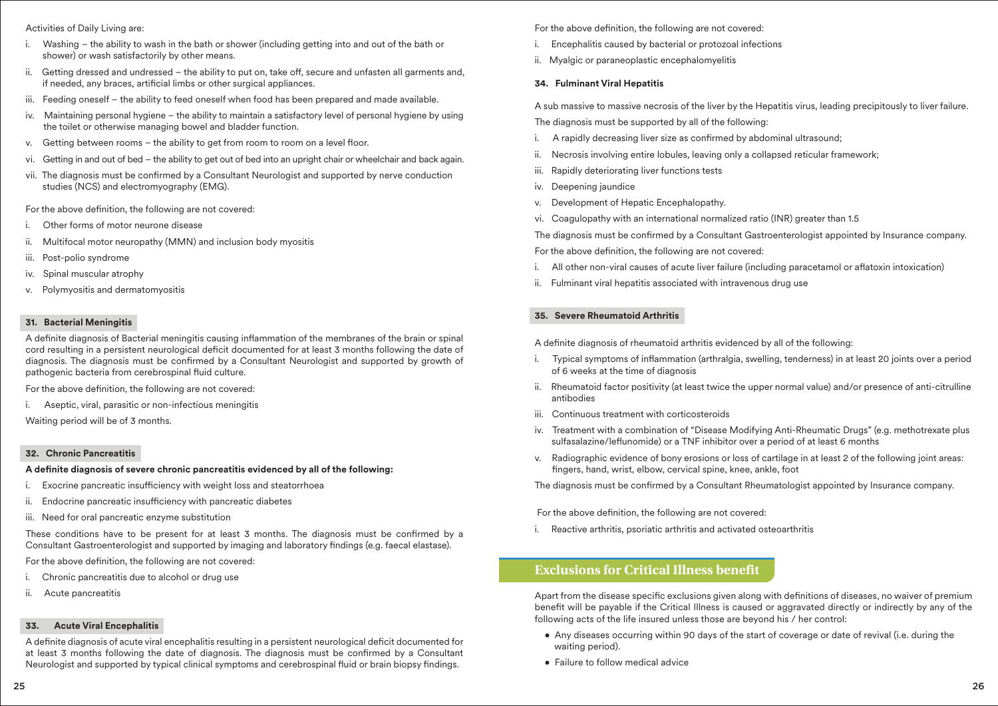#### Activities of Daily Living are:

- i. Washing the ability to wash in the bath or shower (including getting into and out of the bath or shower) or wash satisfactorily by other means.
- ii. Getting dressed and undressed the ability to put on, take off, secure and unfasten all garments and, if needed, any braces, artificial limbs or other surgical appliances.
- iii. Feeding oneself the ability to feed oneself when food has been prepared and made available.
- iv. Maintaining personal hygiene the ability to maintain a satisfactory level of personal hygiene by using the toilet or otherwise managing bowel and bladder function.
- v. Getting between rooms the ability to get from room to room on a level floor.
- vi. Getting in and out of bed the ability to get out of bed into an upright chair or wheelchair and back again.
- vii. The diagnosis must be confirmed by a Consultant Neurologist and supported by nerve conduction studies (NCS) and electromyography (EMG).

For the above definition, the following are not covered:

- Other forms of motor neurone disease
- ii. Multifocal motor neuropathy (MMN) and inclusion body myositis
- iii. Post-polio syndrome
- iv. Spinal muscular atrophy
- v. Polymyositis and dermatomyositis

# **31. Bacterial Meningitis**

A definite diagnosis of Bacterial meningitis causing inflammation of the membranes of the brain or spinal cord resulting in a persistent neurological deficit documented for at least 3 months following the date of diagnosis. The diagnosis must be confirmed by a Consultant Neurologist and supported by growth of pathogenic bacteria from cerebrospinal fluid culture.

For the above definition, the following are not covered:

i. Aseptic, viral, parasitic or non-infectious meningitis

Waiting period will be of 3 months.

# **32. Chronic Pancreatitis**

## A definite diagnosis of severe chronic pancreatitis evidenced by all of the following:

- i. Exocrine pancreatic insufficiency with weight loss and steatorrhoea
- ii. Endocrine pancreatic insufficiency with pancreatic diabetes
- iii. Need for oral pancreatic enzyme substitution

These conditions have to be present for at least 3 months. The diagnosis must be confirmed by a Consultant Gastroenterologist and supported by imaging and laboratory findings (e.g. faecal elastase).

For the above definition, the following are not covered:

- Chronic pancreatitis due to alcohol or drug use
- ii. Acute pancreatitis

# **33. Acute Viral Encephalitis**

A definite diagnosis of acute viral encephalitis resulting in a persistent neurological deficit documented for at least 3 months following the date of diagnosis. The diagnosis must be confirmed by a Consultant Neurologist and supported by typical clinical symptoms and cerebrospinal fluid or brain biopsy findings.

For the above definition, the following are not covered:

- i. Encephalitis caused by bacterial or protozoal infections
- ii. Myalgic or paraneoplastic encephalomyelitis

# **34. Fulminant Viral Hepatitis**

A sub massive to massive necrosis of the liver by the Hepatitis virus, leading precipitously to liver failure. The diagnosis must be supported by all of the following:

- i. A rapidly decreasing liver size as confirmed by abdominal ultrasound:
- ii. Necrosis involving entire lobules, leaving only a collapsed reticular framework;
- iii. Rapidly deteriorating liver functions tests
- iv. Deepening jaundice
- v. Development of Hepatic Encephalopathy.
- vi. Coagulopathy with an international normalized ratio (INR) greater than 1.5

The diagnosis must be confirmed by a Consultant Gastroenterologist appointed by Insurance company.

For the above definition, the following are not covered:

- i. All other non-viral causes of acute liver failure (including paracetamol or aflatoxin intoxication)
- ii. Fulminant viral hepatitis associated with intravenous drug use

# **35. Severe Rheumatoid Arthritis**

A definite diagnosis of rheumatoid arthritis evidenced by all of the following:

- i. Typical symptoms of inflammation (arthralgia, swelling, tenderness) in at least 20 joints over a period of 6 weeks at the time of diagnosis
- ii. Rheumatoid factor positivity (at least twice the upper normal value) and/or presence of anti-citrulline antibodies
- iii. Continuous treatment with corticosteroids
- iv. Treatment with a combination of "Disease Modifying Anti-Rheumatic Drugs" (e.g. methotrexate plus sulfasalazine/leflunomide) or a TNF inhibitor over a period of at least 6 months
- v. Radiographic evidence of bony erosions or loss of cartilage in at least 2 of the following joint areas: fingers, hand, wrist, elbow, cervical spine, knee, ankle, foot

The diagnosis must be confirmed by a Consultant Rheumatologist appointed by Insurance company.

For the above definition, the following are not covered:

i. Reactive arthritis, psoriatic arthritis and activated osteoarthritis

# **Exclusions for Critical Illness benefit**

Apart from the disease specific exclusions given along with definitions of diseases, no waiver of premium benefit will be payable if the Critical Illness is caused or aggravated directly or indirectly by any of the following acts of the life insured unless those are beyond his / her control:

- Any diseases occurring within 90 days of the start of coverage or date of revival (i.e. during the waiting period).
- Failure to follow medical advice